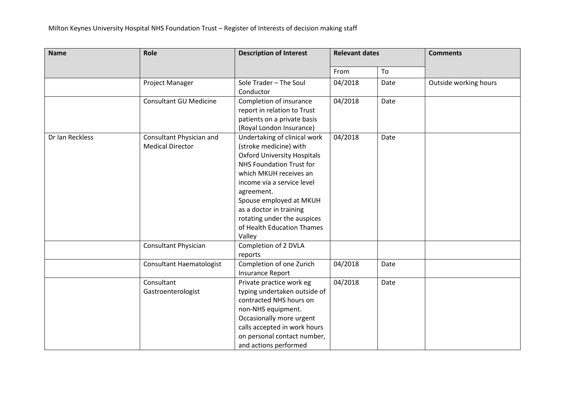| <b>Name</b>     | Role                                                | <b>Description of Interest</b>                                                                                                                                                                                                                                                                                              | <b>Relevant dates</b> |      | <b>Comments</b>       |
|-----------------|-----------------------------------------------------|-----------------------------------------------------------------------------------------------------------------------------------------------------------------------------------------------------------------------------------------------------------------------------------------------------------------------------|-----------------------|------|-----------------------|
|                 |                                                     |                                                                                                                                                                                                                                                                                                                             | From                  | To   |                       |
|                 | Project Manager                                     | Sole Trader - The Soul<br>Conductor                                                                                                                                                                                                                                                                                         | 04/2018               | Date | Outside working hours |
|                 | <b>Consultant GU Medicine</b>                       | Completion of insurance<br>report in relation to Trust<br>patients on a private basis<br>(Royal London Insurance)                                                                                                                                                                                                           | 04/2018               | Date |                       |
| Dr Ian Reckless | Consultant Physician and<br><b>Medical Director</b> | Undertaking of clinical work<br>(stroke medicine) with<br><b>Oxford University Hospitals</b><br>NHS Foundation Trust for<br>which MKUH receives an<br>income via a service level<br>agreement.<br>Spouse employed at MKUH<br>as a doctor in training<br>rotating under the auspices<br>of Health Education Thames<br>Valley | 04/2018               | Date |                       |
|                 | Consultant Physician                                | Completion of 2 DVLA<br>reports                                                                                                                                                                                                                                                                                             |                       |      |                       |
|                 | <b>Consultant Haematologist</b>                     | Completion of one Zurich<br>Insurance Report                                                                                                                                                                                                                                                                                | 04/2018               | Date |                       |
|                 | Consultant<br>Gastroenterologist                    | Private practice work eg<br>typing undertaken outside of<br>contracted NHS hours on<br>non-NHS equipment.<br>Occasionally more urgent<br>calls accepted in work hours<br>on personal contact number,<br>and actions performed                                                                                               | 04/2018               | Date |                       |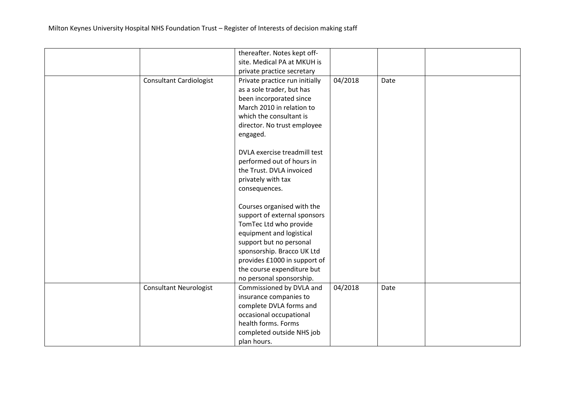|                                | thereafter. Notes kept off-    |         |      |  |
|--------------------------------|--------------------------------|---------|------|--|
|                                | site. Medical PA at MKUH is    |         |      |  |
|                                | private practice secretary     |         |      |  |
| <b>Consultant Cardiologist</b> | Private practice run initially | 04/2018 | Date |  |
|                                | as a sole trader, but has      |         |      |  |
|                                | been incorporated since        |         |      |  |
|                                | March 2010 in relation to      |         |      |  |
|                                | which the consultant is        |         |      |  |
|                                | director. No trust employee    |         |      |  |
|                                | engaged.                       |         |      |  |
|                                |                                |         |      |  |
|                                | DVLA exercise treadmill test   |         |      |  |
|                                | performed out of hours in      |         |      |  |
|                                | the Trust. DVLA invoiced       |         |      |  |
|                                | privately with tax             |         |      |  |
|                                | consequences.                  |         |      |  |
|                                |                                |         |      |  |
|                                | Courses organised with the     |         |      |  |
|                                | support of external sponsors   |         |      |  |
|                                | TomTec Ltd who provide         |         |      |  |
|                                | equipment and logistical       |         |      |  |
|                                | support but no personal        |         |      |  |
|                                | sponsorship. Bracco UK Ltd     |         |      |  |
|                                | provides £1000 in support of   |         |      |  |
|                                | the course expenditure but     |         |      |  |
|                                | no personal sponsorship.       |         |      |  |
| <b>Consultant Neurologist</b>  | Commissioned by DVLA and       | 04/2018 | Date |  |
|                                | insurance companies to         |         |      |  |
|                                | complete DVLA forms and        |         |      |  |
|                                | occasional occupational        |         |      |  |
|                                | health forms. Forms            |         |      |  |
|                                | completed outside NHS job      |         |      |  |
|                                | plan hours.                    |         |      |  |
|                                |                                |         |      |  |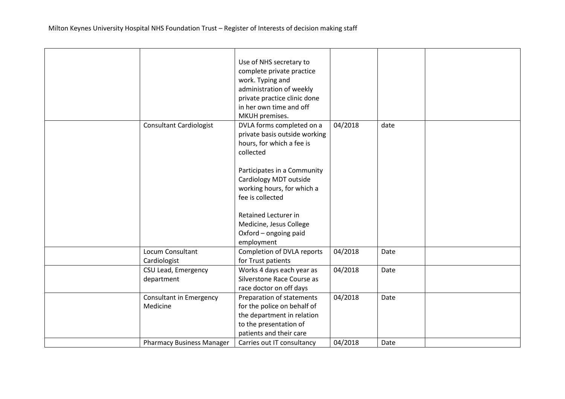|                                     | Use of NHS secretary to<br>complete private practice<br>work. Typing and<br>administration of weekly<br>private practice clinic done<br>in her own time and off<br>MKUH premises. |         |      |  |
|-------------------------------------|-----------------------------------------------------------------------------------------------------------------------------------------------------------------------------------|---------|------|--|
| <b>Consultant Cardiologist</b>      | DVLA forms completed on a<br>private basis outside working<br>hours, for which a fee is<br>collected                                                                              | 04/2018 | date |  |
|                                     | Participates in a Community<br>Cardiology MDT outside<br>working hours, for which a<br>fee is collected                                                                           |         |      |  |
|                                     | Retained Lecturer in<br>Medicine, Jesus College<br>Oxford - ongoing paid<br>employment                                                                                            |         |      |  |
| Locum Consultant<br>Cardiologist    | Completion of DVLA reports<br>for Trust patients                                                                                                                                  | 04/2018 | Date |  |
| CSU Lead, Emergency<br>department   | Works 4 days each year as<br>Silverstone Race Course as<br>race doctor on off days                                                                                                | 04/2018 | Date |  |
| Consultant in Emergency<br>Medicine | Preparation of statements<br>for the police on behalf of<br>the department in relation<br>to the presentation of<br>patients and their care                                       | 04/2018 | Date |  |
| <b>Pharmacy Business Manager</b>    | Carries out IT consultancy                                                                                                                                                        | 04/2018 | Date |  |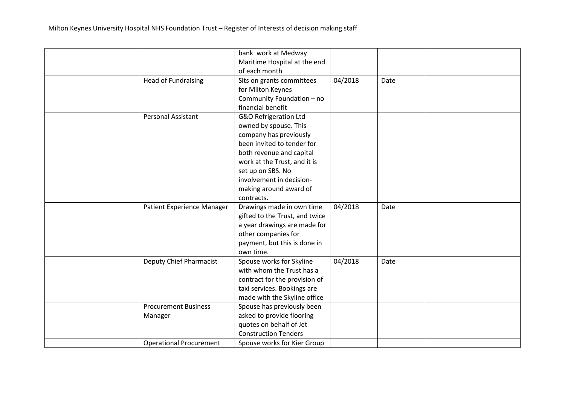|                                                                          | bank work at Medway<br>Maritime Hospital at the end<br>of each month                                                                                                                                                                                                   |         |      |  |
|--------------------------------------------------------------------------|------------------------------------------------------------------------------------------------------------------------------------------------------------------------------------------------------------------------------------------------------------------------|---------|------|--|
| <b>Head of Fundraising</b>                                               | Sits on grants committees<br>for Milton Keynes<br>Community Foundation - no<br>financial benefit                                                                                                                                                                       | 04/2018 | Date |  |
| Personal Assistant                                                       | <b>G&amp;O Refrigeration Ltd</b><br>owned by spouse. This<br>company has previously<br>been invited to tender for<br>both revenue and capital<br>work at the Trust, and it is<br>set up on SBS. No<br>involvement in decision-<br>making around award of<br>contracts. |         |      |  |
| <b>Patient Experience Manager</b>                                        | Drawings made in own time<br>gifted to the Trust, and twice<br>a year drawings are made for<br>other companies for<br>payment, but this is done in<br>own time.                                                                                                        | 04/2018 | Date |  |
| Deputy Chief Pharmacist                                                  | Spouse works for Skyline<br>with whom the Trust has a<br>contract for the provision of<br>taxi services. Bookings are<br>made with the Skyline office                                                                                                                  | 04/2018 | Date |  |
| <b>Procurement Business</b><br>Manager<br><b>Operational Procurement</b> | Spouse has previously been<br>asked to provide flooring<br>quotes on behalf of Jet<br><b>Construction Tenders</b><br>Spouse works for Kier Group                                                                                                                       |         |      |  |
|                                                                          |                                                                                                                                                                                                                                                                        |         |      |  |